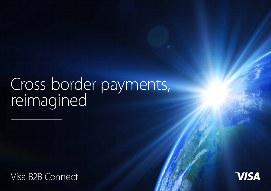# Cross-border payments, reimagined

[Visa B2B Connect](https://usa.visa.com/partner-with-us/payment-technology/visa-b2b-connect.html)

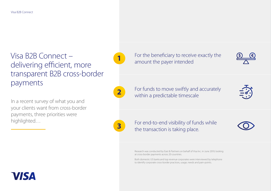## $V$  **is a B2B Connect** – **1** For the beneficiary to receive exactly the  $\frac{1}{\Delta}$  **6 E**<br>dolivering officient more delivering efficient, more transparent B2B cross-border payments

In a recent survey of what you and your clients want from cross-border payments, three priorities were highlighted…

For funds to move swiftly and accurately **2** For furids to move swifting and **2** within a predictable timescale

For end-to-end visibility of funds while **3 the transaction is taking place.** 

> Research was conducted by East & Partners on behalf of Visa Inc. in June 2019, looking at cross-border payments across 20 countries.

Both domestic US banks and top revenue corporates were interviewed by telephone to identify corporate cross-border practices, usage, needs and pain-points.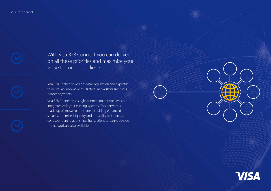With Visa B2B Connect you can deliver on all these priorities and maximize your value to corporate clients.

Visa B2B Connect leverages Visa's reputation and expertise to deliver an innovative multilateral network for B2B crossborder payments.

Visa B2B Connect is a single-connection network which integrates with your existing systems. This network is made up of known participants, providing enhanced security, optimized liquidity and the ability to rationalize correspondent relationships. Transactions to banks outside the network are also available.

**VISA** 

T

W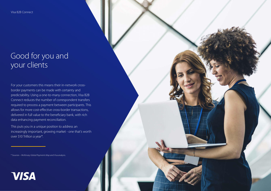Visa B2B Connect

### Good for you and your clients

For your customers this means their in-network crossborder payments can be made with certainty and predictability. Using a one-to-many connection, Visa B2B Connect reduces the number of correspondent transfers required to process a payment between participants. This allows for more cost-effective cross-border transactions, delivered in full value to the beneficiary bank, with rich data enhancing payment reconciliation.

This puts you in a unique position to address an increasingly important, growing market - one that's worth over \$10 Trillion a year\*.

\* Sources – McKinsey *Global Payments Map* and Visa analysis.

## **VISA**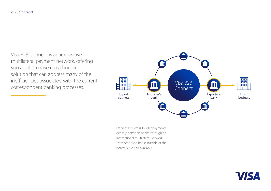Visa B2B Connect is an innovative multilateral payment network, offering you an alternative cross-border solution that can address many of the inefficiencies associated with the current correspondent banking processes.



Efficient B2B cross-border payments directly between banks, through an international multilateral network. Transactions to banks outside of the network are also available..

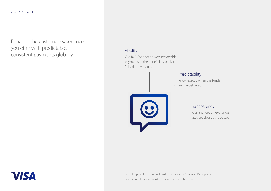**VISA** 

Enhance the customer experience you offer with predictable, consistent payments globally

#### Finality

Visa B2B Connect delivers irrevocable payments to the beneficiary bank in full value, every time.



Benefits applicable to transactions between Visa B2B Connect Participants.

Transactions to banks outside of the network are also available.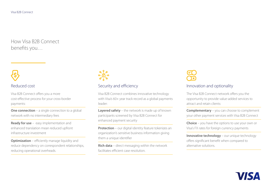How Visa B2B Connect benefits you…

## Reduced cost

Visa B2B Connect offers you a more cost-effective process for your cross-border payments:

**One connection** – a single connection to a global network with no intermediary fees

**Ready for use** – easy implementation and enhanced translation mean reduced upfront infrastructure investment

**Optimization** – efficiently manage liquidity and reduce dependency on correspondent relationships, reducing operational overheads.

## ၜၟၛၟ<br>ၜၟၛၟႝၜ

### Security and efficiency

Visa B2B Connect combines innovative technology with Visa's 60+ year track record as a global payments leader:

**Layered safety** – the network is made up of known participants screened by Visa B2B Connect for enhanced payment security

**Protection** – our digital identity feature tokenizes an organization's sensitive business information giving them a unique identifier

**Rich data** – direct messaging within the network facilitates efficient case resolution.

#### Innovation and optionality

The Visa B2B Connect network offers you the opportunity to provide value-added services to attract and retain clients:

**Complementary** – you can choose to complement your other payment services with Visa B2B Connect

**Choice** – you have the options to use your own or Visa's FX rates for foreign currency payments

**Innovative technology** – our unique technology offers significant benefit when compared to alternative solutions.